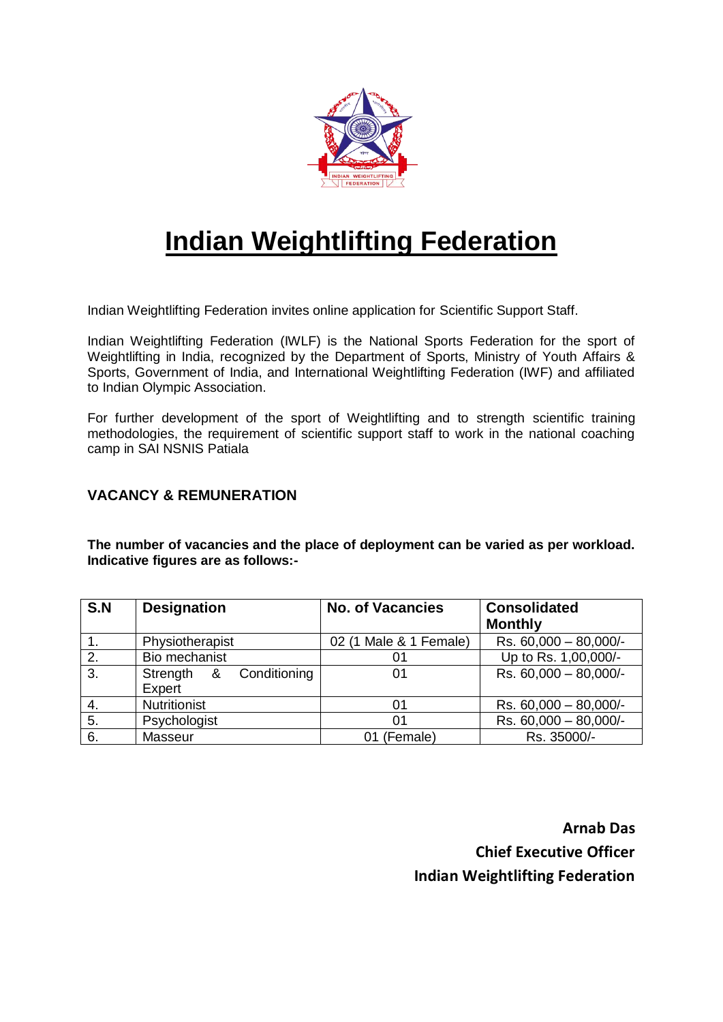

# **Indian Weightlifting Federation**

Indian Weightlifting Federation invites online application for Scientific Support Staff.

Indian Weightlifting Federation (IWLF) is the National Sports Federation for the sport of Weightlifting in India, recognized by the Department of Sports, Ministry of Youth Affairs & Sports, Government of India, and International Weightlifting Federation (IWF) and affiliated to Indian Olympic Association.

For further development of the sport of Weightlifting and to strength scientific training methodologies, the requirement of scientific support staff to work in the national coaching camp in SAI NSNIS Patiala

# **VACANCY & REMUNERATION**

**The number of vacancies and the place of deployment can be varied as per workload. Indicative figures are as follows:-**

| S.N | <b>Designation</b>         | <b>No. of Vacancies</b> | <b>Consolidated</b>                |
|-----|----------------------------|-------------------------|------------------------------------|
|     |                            |                         | <b>Monthly</b>                     |
|     | Physiotherapist            | 02 (1 Male & 1 Female)  | Rs. $60,000 - 80,000$ <sup>-</sup> |
| 2.  | Bio mechanist              | 01                      | Up to Rs. 1,00,000/-               |
| 3.  | Conditioning<br>Strength & | 01                      | Rs. 60,000 - 80,000/-              |
|     | Expert                     |                         |                                    |
| -4. | <b>Nutritionist</b>        | 01                      | Rs. $60,000 - 80,000$ <sup>-</sup> |
| 5.  | Psychologist               | 01                      | Rs. 60,000 - 80,000/-              |
| 6.  | Masseur                    | 01 (Female)             | Rs. 35000/-                        |

**Arnab Das Chief Executive Officer Indian Weightlifting Federation**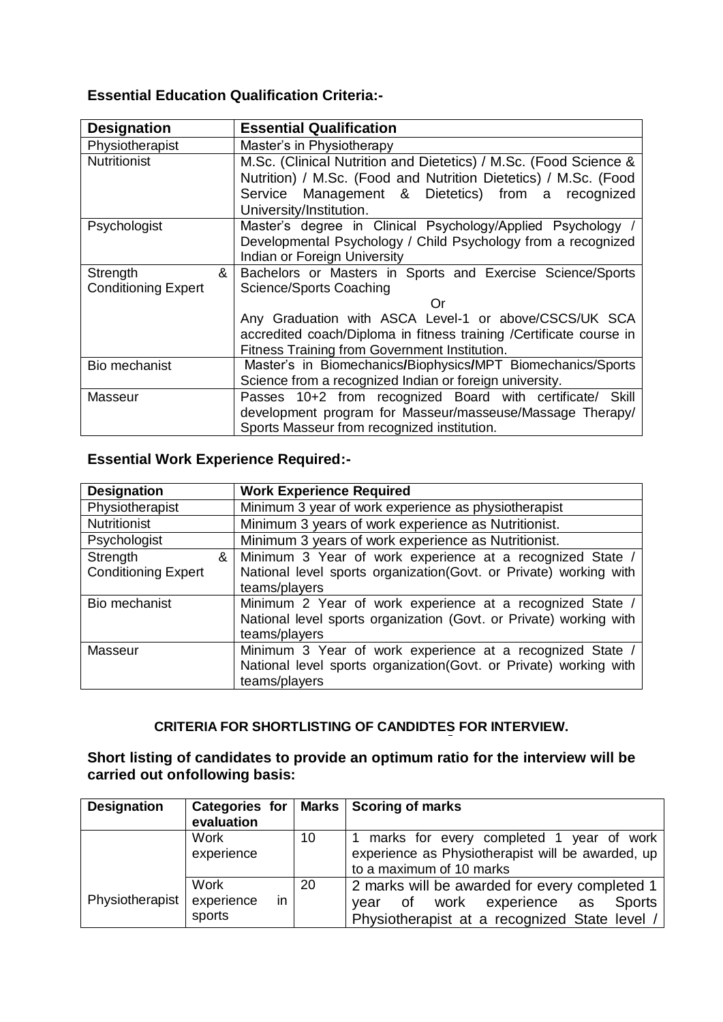# **Essential Education Qualification Criteria:-**

| <b>Designation</b>         | <b>Essential Qualification</b>                                      |  |  |
|----------------------------|---------------------------------------------------------------------|--|--|
| Physiotherapist            | Master's in Physiotherapy                                           |  |  |
| <b>Nutritionist</b>        | M.Sc. (Clinical Nutrition and Dietetics) / M.Sc. (Food Science &    |  |  |
|                            | Nutrition) / M.Sc. (Food and Nutrition Dietetics) / M.Sc. (Food     |  |  |
|                            | Service Management & Dietetics) from a recognized                   |  |  |
|                            | University/Institution.                                             |  |  |
| Psychologist               | Master's degree in Clinical Psychology/Applied Psychology /         |  |  |
|                            | Developmental Psychology / Child Psychology from a recognized       |  |  |
|                            | Indian or Foreign University                                        |  |  |
| &<br>Strength              | Bachelors or Masters in Sports and Exercise Science/Sports          |  |  |
| <b>Conditioning Expert</b> | Science/Sports Coaching                                             |  |  |
|                            | Ωr                                                                  |  |  |
|                            | Any Graduation with ASCA Level-1 or above/CSCS/UK SCA               |  |  |
|                            | accredited coach/Diploma in fitness training /Certificate course in |  |  |
|                            | Fitness Training from Government Institution.                       |  |  |
| Bio mechanist              | Master's in Biomechanics/Biophysics/MPT Biomechanics/Sports         |  |  |
|                            | Science from a recognized Indian or foreign university.             |  |  |
| Masseur                    | Passes 10+2 from recognized Board with certificate/ Skill           |  |  |
|                            | development program for Masseur/masseuse/Massage Therapy/           |  |  |
|                            | Sports Masseur from recognized institution.                         |  |  |

# **Essential Work Experience Required:-**

| <b>Designation</b>         | <b>Work Experience Required</b>                                    |  |
|----------------------------|--------------------------------------------------------------------|--|
| Physiotherapist            | Minimum 3 year of work experience as physiotherapist               |  |
| Nutritionist               | Minimum 3 years of work experience as Nutritionist.                |  |
| Psychologist               | Minimum 3 years of work experience as Nutritionist.                |  |
| Strength                   | Minimum 3 Year of work experience at a recognized State /<br>&     |  |
| <b>Conditioning Expert</b> | National level sports organization (Govt. or Private) working with |  |
|                            | teams/players                                                      |  |
| Bio mechanist              | Minimum 2 Year of work experience at a recognized State /          |  |
|                            | National level sports organization (Govt. or Private) working with |  |
|                            | teams/players                                                      |  |
| Masseur                    | Minimum 3 Year of work experience at a recognized State /          |  |
|                            | National level sports organization (Govt. or Private) working with |  |
|                            | teams/players                                                      |  |

# **CRITERIA FOR SHORTLISTING OF CANDIDTES FOR INTERVIEW.**

# **Short listing of candidates to provide an optimum ratio for the interview will be carried out onfollowing basis:**

| <b>Designation</b> |                  |    | Categories for   Marks   Scoring of marks               |  |
|--------------------|------------------|----|---------------------------------------------------------|--|
|                    | evaluation       |    |                                                         |  |
|                    | <b>Work</b>      | 10 | marks for every completed 1 year of work                |  |
|                    | experience       |    | experience as Physiotherapist will be awarded, up       |  |
|                    |                  |    | to a maximum of 10 marks                                |  |
|                    | Work             | 20 | 2 marks will be awarded for every completed 1           |  |
| Physiotherapist    | experience<br>in |    | work<br>experience<br><b>Sports</b><br>of<br>as<br>vear |  |
|                    | sports           |    | Physiotherapist at a recognized State level /           |  |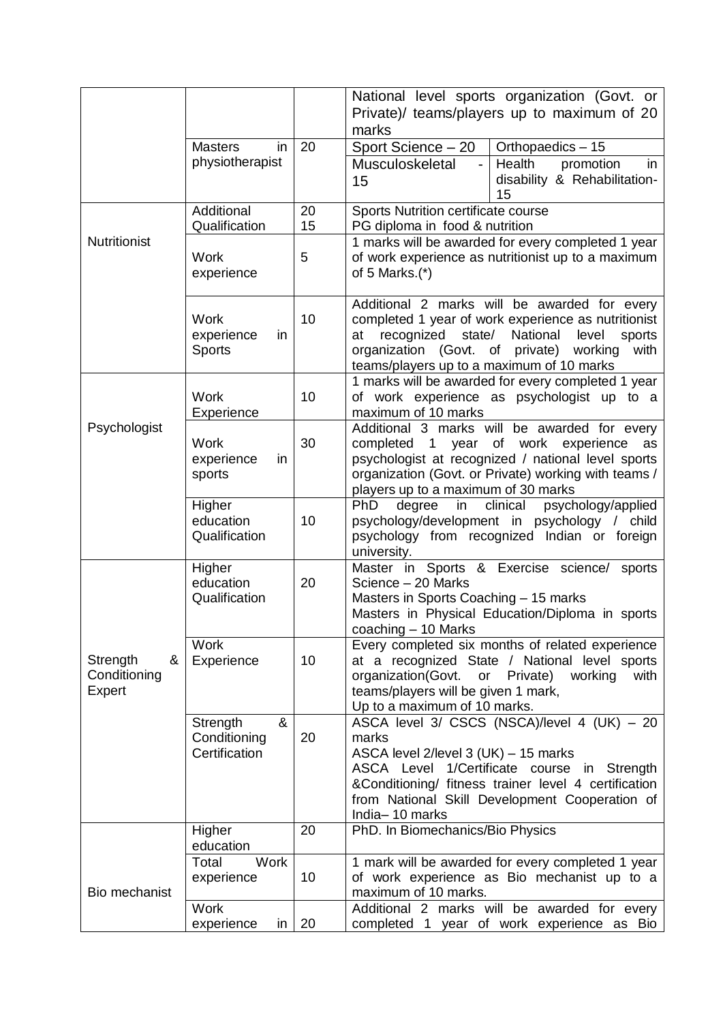|                     |                      |                     | National level sports organization (Govt. or                                                     |  |
|---------------------|----------------------|---------------------|--------------------------------------------------------------------------------------------------|--|
|                     |                      |                     | Private)/ teams/players up to maximum of 20                                                      |  |
|                     |                      |                     | marks                                                                                            |  |
|                     | <b>Masters</b><br>in | 20                  | Orthopaedics - 15<br>Sport Science - 20                                                          |  |
|                     | physiotherapist      |                     | Health<br>Musculoskeletal<br>$\overline{a}$<br>promotion<br>in                                   |  |
|                     |                      |                     | disability & Rehabilitation-                                                                     |  |
|                     |                      |                     | 15<br>15                                                                                         |  |
|                     | Additional           | 20                  | Sports Nutrition certificate course                                                              |  |
|                     | Qualification        | 15                  | PG diploma in food & nutrition                                                                   |  |
| <b>Nutritionist</b> |                      |                     | 1 marks will be awarded for every completed 1 year                                               |  |
|                     | <b>Work</b>          | 5                   | of work experience as nutritionist up to a maximum                                               |  |
|                     | experience           |                     | of 5 Marks. $(*)$                                                                                |  |
|                     |                      |                     |                                                                                                  |  |
|                     |                      |                     | Additional 2 marks will be awarded for every                                                     |  |
|                     | <b>Work</b>          | 10                  | completed 1 year of work experience as nutritionist                                              |  |
|                     | experience<br>in     |                     | recognized<br>National<br>state/<br>level<br>sports<br>at                                        |  |
|                     | <b>Sports</b>        |                     | organization (Govt. of private)<br>working<br>with                                               |  |
|                     |                      |                     | teams/players up to a maximum of 10 marks                                                        |  |
|                     | <b>Work</b>          | 10                  | 1 marks will be awarded for every completed 1 year<br>of work experience as psychologist up to a |  |
|                     | Experience           | maximum of 10 marks |                                                                                                  |  |
| Psychologist        |                      |                     | Additional 3 marks will be awarded for every                                                     |  |
|                     | <b>Work</b>          | 30                  | completed 1<br>year<br>of work experience<br>as                                                  |  |
|                     | experience<br>in     |                     | psychologist at recognized / national level sports                                               |  |
|                     | sports               |                     | organization (Govt. or Private) working with teams /                                             |  |
|                     |                      |                     | players up to a maximum of 30 marks                                                              |  |
|                     | Higher               |                     | PhD<br>degree<br>clinical<br>psychology/applied<br>in                                            |  |
|                     | education            | 10                  | psychology/development in psychology / child                                                     |  |
|                     | Qualification        |                     | psychology from recognized Indian or foreign                                                     |  |
|                     |                      |                     | university.                                                                                      |  |
|                     | Higher               |                     | Master in Sports & Exercise science/<br>sports                                                   |  |
|                     | education            | 20                  | Science - 20 Marks                                                                               |  |
|                     | Qualification        |                     | Masters in Sports Coaching - 15 marks<br>Masters in Physical Education/Diploma in sports         |  |
|                     |                      |                     | coaching - 10 Marks                                                                              |  |
|                     | <b>Work</b>          |                     | Every completed six months of related experience                                                 |  |
| &<br>Strength       | Experience           | 10 <sup>1</sup>     | at a recognized State / National level sports                                                    |  |
| Conditioning        |                      |                     | organization(Govt.<br>Private)<br>or<br>working<br>with                                          |  |
| Expert              |                      |                     | teams/players will be given 1 mark,                                                              |  |
|                     |                      |                     | Up to a maximum of 10 marks.                                                                     |  |
|                     | &<br>Strength        |                     | ASCA level 3/ CSCS (NSCA)/level 4 (UK) - 20                                                      |  |
|                     | Conditioning         | 20                  | marks                                                                                            |  |
|                     | Certification        |                     | ASCA level 2/level 3 (UK) - 15 marks                                                             |  |
|                     |                      |                     | ASCA Level 1/Certificate course in Strength                                                      |  |
|                     |                      |                     | &Conditioning/ fitness trainer level 4 certification                                             |  |
|                     |                      |                     | from National Skill Development Cooperation of                                                   |  |
|                     |                      | 20                  | India-10 marks                                                                                   |  |
|                     | Higher<br>education  |                     | PhD. In Biomechanics/Bio Physics                                                                 |  |
|                     | Total<br><b>Work</b> |                     | 1 mark will be awarded for every completed 1 year                                                |  |
|                     | experience           | 10                  | of work experience as Bio mechanist up to a                                                      |  |
| Bio mechanist       |                      |                     | maximum of 10 marks.                                                                             |  |
|                     | <b>Work</b>          |                     | Additional 2 marks will be awarded for every                                                     |  |
|                     | experience<br>in     | 20                  | completed 1 year of work experience as Bio                                                       |  |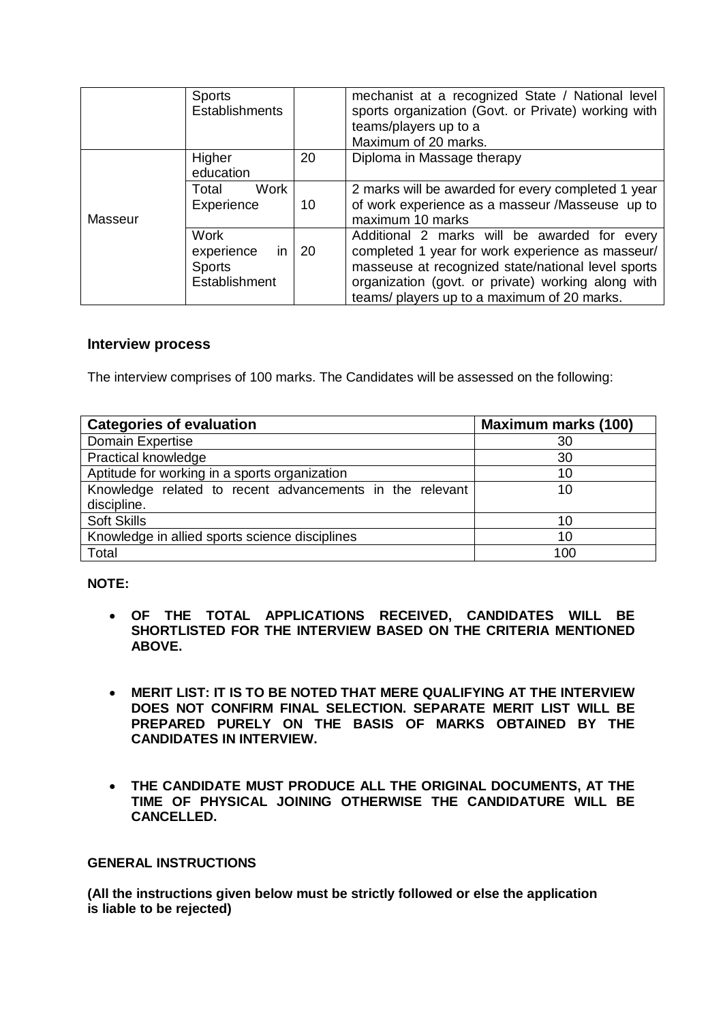|         | <b>Sports</b><br><b>Establishments</b> |     | mechanist at a recognized State / National level<br>sports organization (Govt. or Private) working with<br>teams/players up to a<br>Maximum of 20 marks. |
|---------|----------------------------------------|-----|----------------------------------------------------------------------------------------------------------------------------------------------------------|
|         | Higher<br>education                    | 20  | Diploma in Massage therapy                                                                                                                               |
|         | Work<br>Total<br>Experience            | 10  | 2 marks will be awarded for every completed 1 year<br>of work experience as a masseur /Masseuse up to                                                    |
| Masseur |                                        |     | maximum 10 marks                                                                                                                                         |
|         | <b>Work</b>                            |     | Additional 2 marks will be awarded for every                                                                                                             |
|         | experience<br>in                       | -20 | completed 1 year for work experience as masseur/                                                                                                         |
|         | <b>Sports</b>                          |     | masseuse at recognized state/national level sports                                                                                                       |
|         | Establishment                          |     | organization (govt. or private) working along with                                                                                                       |
|         |                                        |     | teams/ players up to a maximum of 20 marks.                                                                                                              |

## **Interview process**

The interview comprises of 100 marks. The Candidates will be assessed on the following:

| <b>Categories of evaluation</b>                                         | <b>Maximum marks (100)</b> |
|-------------------------------------------------------------------------|----------------------------|
| Domain Expertise                                                        | 30                         |
| <b>Practical knowledge</b>                                              | 30                         |
| Aptitude for working in a sports organization                           | 10                         |
| Knowledge related to recent advancements in the relevant<br>discipline. | 10                         |
| <b>Soft Skills</b>                                                      | 10                         |
| Knowledge in allied sports science disciplines                          | 10                         |
| Total                                                                   | 100                        |

#### **NOTE:**

- **OF THE TOTAL APPLICATIONS RECEIVED, CANDIDATES WILL BE SHORTLISTED FOR THE INTERVIEW BASED ON THE CRITERIA MENTIONED ABOVE.**
- **MERIT LIST: IT IS TO BE NOTED THAT MERE QUALIFYING AT THE INTERVIEW DOES NOT CONFIRM FINAL SELECTION. SEPARATE MERIT LIST WILL BE PREPARED PURELY ON THE BASIS OF MARKS OBTAINED BY THE CANDIDATES IN INTERVIEW.**
- **THE CANDIDATE MUST PRODUCE ALL THE ORIGINAL DOCUMENTS, AT THE TIME OF PHYSICAL JOINING OTHERWISE THE CANDIDATURE WILL BE CANCELLED.**

#### **GENERAL INSTRUCTIONS**

**(All the instructions given below must be strictly followed or else the application is liable to be rejected)**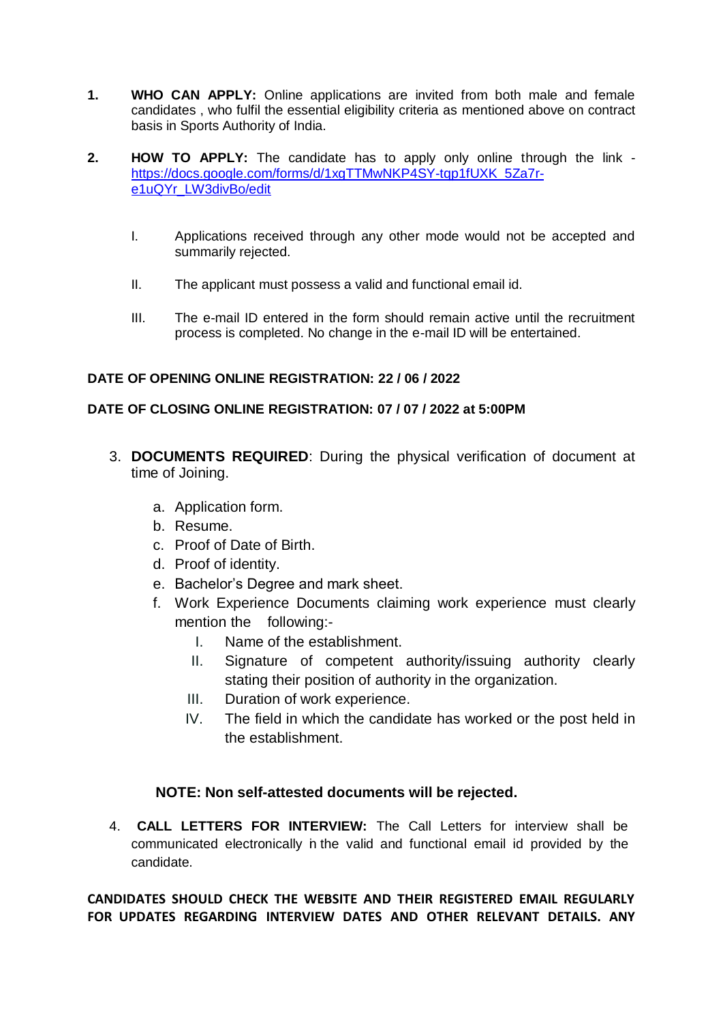- **1. WHO CAN APPLY:** Online applications are invited from both male and female candidates , who fulfil the essential eligibility criteria as mentioned above on contract basis in Sports Authority of India.
- **2. HOW TO APPLY:** The candidate has to apply only online through the link [https://docs.google.com/forms/d/1xgTTMwNKP4SY-tqp1fUXK\\_5Za7r](https://docs.google.com/forms/d/1xgTTMwNKP4SY-tqp1fUXK_5Za7r-e1uQYr_LW3divBo/edit)[e1uQYr\\_LW3divBo/edit](https://docs.google.com/forms/d/1xgTTMwNKP4SY-tqp1fUXK_5Za7r-e1uQYr_LW3divBo/edit)
	- I. Applications received through any other mode would not be accepted and summarily rejected.
	- II. The applicant must possess a valid and functional email id.
	- III. The e-mail ID entered in the form should remain active until the recruitment process is completed. No change in the e-mail ID will be entertained.

# **DATE OF OPENING ONLINE REGISTRATION: 22 / 06 / 2022**

## **DATE OF CLOSING ONLINE REGISTRATION: 07 / 07 / 2022 at 5:00PM**

- 3. **DOCUMENTS REQUIRED**: During the physical verification of document at time of Joining.
	- a. Application form.
	- b. Resume.
	- c. Proof of Date of Birth.
	- d. Proof of identity.
	- e. Bachelor's Degree and mark sheet.
	- f. Work Experience Documents claiming work experience must clearly mention the following:-
		- I. Name of the establishment.
		- II. Signature of competent authority/issuing authority clearly stating their position of authority in the organization.
		- III. Duration of work experience.
		- IV. The field in which the candidate has worked or the post held in the establishment.

# **NOTE: Non self-attested documents will be rejected.**

4. **CALL LETTERS FOR INTERVIEW:** The Call Letters for interview shall be communicated electronically in the valid and functional email id provided by the candidate.

**CANDIDATES SHOULD CHECK THE WEBSITE AND THEIR REGISTERED EMAIL REGULARLY FOR UPDATES REGARDING INTERVIEW DATES AND OTHER RELEVANT DETAILS. ANY**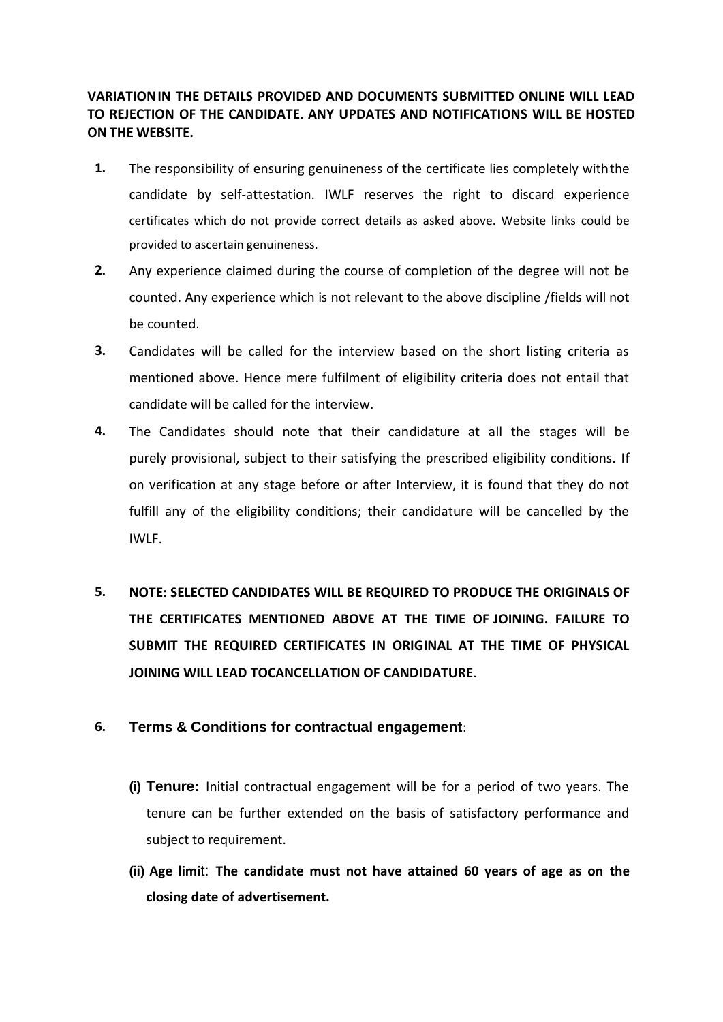# **VARIATIONIN THE DETAILS PROVIDED AND DOCUMENTS SUBMITTED ONLINE WILL LEAD TO REJECTION OF THE CANDIDATE. ANY UPDATES AND NOTIFICATIONS WILL BE HOSTED ON THE WEBSITE.**

- **1.** The responsibility of ensuring genuineness of the certificate lies completely withthe candidate by self-attestation. IWLF reserves the right to discard experience certificates which do not provide correct details as asked above. Website links could be provided to ascertain genuineness.
- **2.** Any experience claimed during the course of completion of the degree will not be counted. Any experience which is not relevant to the above discipline /fields will not be counted.
- **3.** Candidates will be called for the interview based on the short listing criteria as mentioned above. Hence mere fulfilment of eligibility criteria does not entail that candidate will be called for the interview.
- **4.** The Candidates should note that their candidature at all the stages will be purely provisional, subject to their satisfying the prescribed eligibility conditions. If on verification at any stage before or after Interview, it is found that they do not fulfill any of the eligibility conditions; their candidature will be cancelled by the IWLF.
- **5. NOTE: SELECTED CANDIDATES WILL BE REQUIRED TO PRODUCE THE ORIGINALS OF THE CERTIFICATES MENTIONED ABOVE AT THE TIME OF JOINING. FAILURE TO SUBMIT THE REQUIRED CERTIFICATES IN ORIGINAL AT THE TIME OF PHYSICAL JOINING WILL LEAD TOCANCELLATION OF CANDIDATURE**.

# **6. Terms & Conditions for contractual engagement**:

- **(i) Tenure:** Initial contractual engagement will be for a period of two years. The tenure can be further extended on the basis of satisfactory performance and subject to requirement.
- **(ii) Age limi**t: **The candidate must not have attained 60 years of age as on the closing date of advertisement.**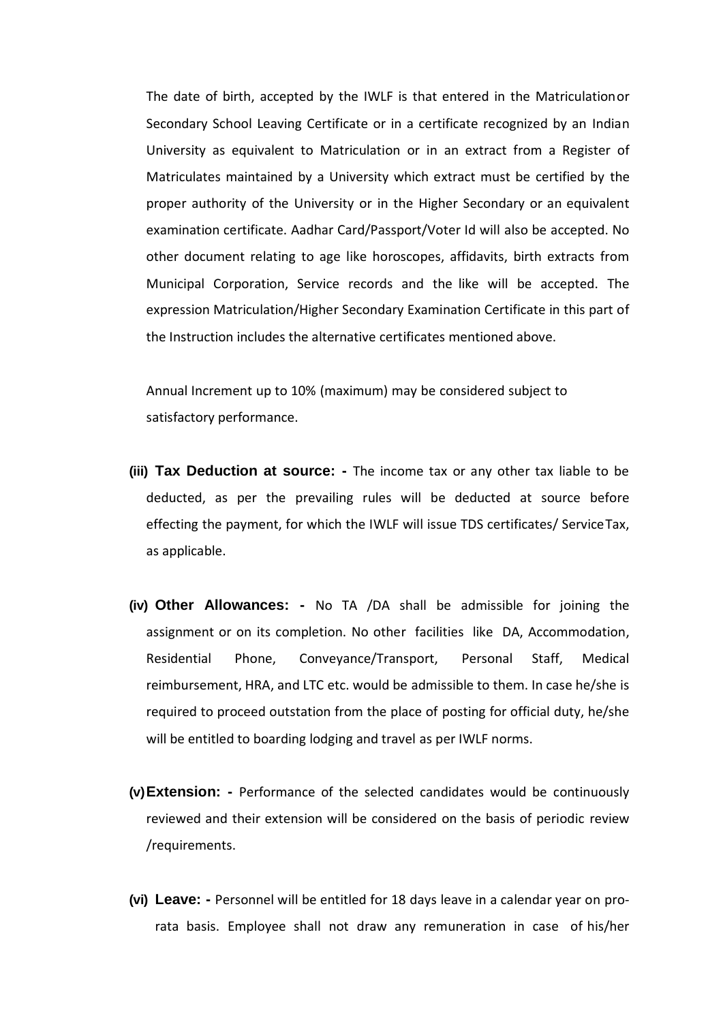The date of birth, accepted by the IWLF is that entered in the Matriculationor Secondary School Leaving Certificate or in a certificate recognized by an Indian University as equivalent to Matriculation or in an extract from a Register of Matriculates maintained by a University which extract must be certified by the proper authority of the University or in the Higher Secondary or an equivalent examination certificate. Aadhar Card/Passport/Voter Id will also be accepted. No other document relating to age like horoscopes, affidavits, birth extracts from Municipal Corporation, Service records and the like will be accepted. The expression Matriculation/Higher Secondary Examination Certificate in this part of the Instruction includes the alternative certificates mentioned above.

Annual Increment up to 10% (maximum) may be considered subject to satisfactory performance.

- **(iii) Tax Deduction at source: -** The income tax or any other tax liable to be deducted, as per the prevailing rules will be deducted at source before effecting the payment, for which the IWLF will issue TDS certificates/ ServiceTax, as applicable.
- **(iv) Other Allowances: -** No TA /DA shall be admissible for joining the assignment or on its completion. No other facilities like DA, Accommodation, Residential Phone, Conveyance/Transport, Personal Staff, Medical reimbursement, HRA, and LTC etc. would be admissible to them. In case he/she is required to proceed outstation from the place of posting for official duty, he/she will be entitled to boarding lodging and travel as per IWLF norms.
- **(v)Extension: -** Performance of the selected candidates would be continuously reviewed and their extension will be considered on the basis of periodic review /requirements.
- **(vi) Leave: -** Personnel will be entitled for 18 days leave in a calendar year on prorata basis. Employee shall not draw any remuneration in case of his/her